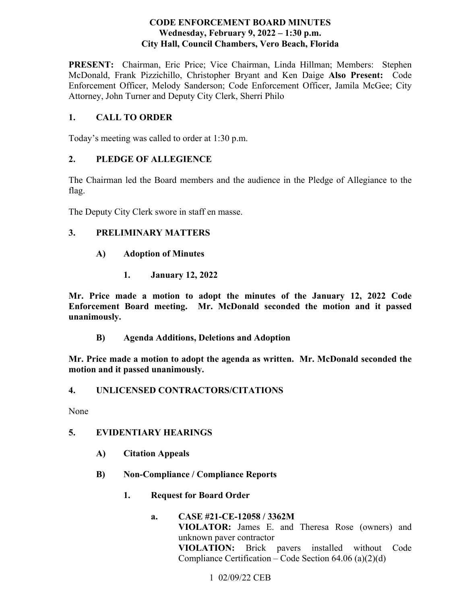#### **CODE ENFORCEMENT BOARD MINUTES**  Wednesday, February 9, 2022 – 1:30 p.m. **City Hall, Council Chambers, Vero Beach, Florida**

PRESENT: Chairman, Eric Price; Vice Chairman, Linda Hillman; Members: Stephen  McDonald, Frank Pizzichillo, Christopher Bryant and Ken Daige **Also Present:** Code Enforcement Officer, Melody Sanderson; Code Enforcement Officer, Jamila McGee; City Attorney, John Turner and Deputy City Clerk, Sherri Philo

# **1. CALL TO ORDER**

Today's meeting was called to order at 1:30 p.m.

# **2. PLEDGE OF ALLEGIENCE**

The Chairman led the Board members and the audience in the Pledge of Allegiance to the flag.

The Deputy City Clerk swore in staff en masse.

# **3. PRELIMINARY MATTERS**

- **A) Adoption of Minutes** 
	- **1. January 12, 2022**

unanimously. **Mr. Price made a motion to adopt the minutes of the January 12, 2022 Code Enforcement Board meeting. Mr. McDonald seconded the motion and it passed** 

**unanimously. B) Agenda Additions, Deletions and Adoption** 

**Mr. Price made a motion to adopt the agenda as written. Mr. McDonald seconded the motion and it passed unanimously.** 

# **4. UNLICENSED CONTRACTORS/CITATIONS**

None

# **5. EVIDENTIARY HEARINGS**

- **A) Citation Appeals**
- **B) Non-Compliance / Compliance Reports** 
	-
	- **1. Request for Board Order a. CASE #21-CE-12058 / 3362M**  unknown paver contractor **VIOLATOR:** James E. and Theresa Rose (owners) and **VIOLATION:** Brick pavers installed without Code Compliance Certification – Code Section 64.06 (a)(2)(d)

# 1 02/09/22 CEB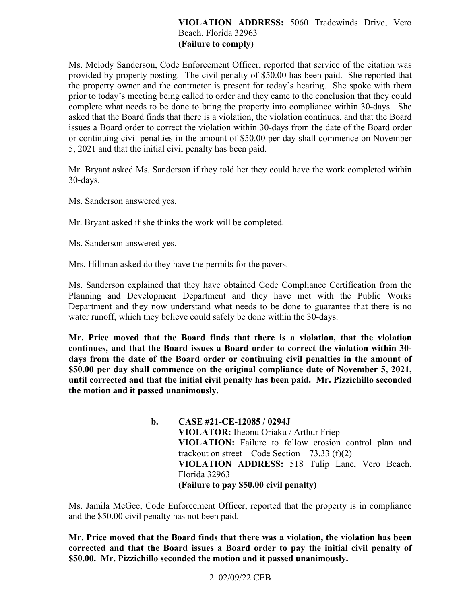### **VIOLATION ADDRESS:** 5060 Tradewinds Drive, Vero Beach, Florida 32963 **(Failure to comply)**

 the property owner and the contractor is present for today's hearing. She spoke with them prior to today's meeting being called to order and they came to the conclusion that they could Ms. Melody Sanderson, Code Enforcement Officer, reported that service of the citation was provided by property posting. The civil penalty of \$50.00 has been paid. She reported that complete what needs to be done to bring the property into compliance within 30-days. She asked that the Board finds that there is a violation, the violation continues, and that the Board issues a Board order to correct the violation within 30-days from the date of the Board order or continuing civil penalties in the amount of \$50.00 per day shall commence on November 5, 2021 and that the initial civil penalty has been paid.

Mr. Bryant asked Ms. Sanderson if they told her they could have the work completed within 30-days.

Ms. Sanderson answered yes.

Mr. Bryant asked if she thinks the work will be completed.

Ms. Sanderson answered yes.

Mrs. Hillman asked do they have the permits for the pavers.

Ms. Sanderson explained that they have obtained Code Compliance Certification from the Planning and Development Department and they have met with the Public Works Department and they now understand what needs to be done to guarantee that there is no water runoff, which they believe could safely be done within the 30-days.

 **\$50.00 per day shall commence on the original compliance date of November 5, 2021, until corrected and that the initial civil penalty has been paid. Mr. Pizzichillo seconded the motion and it passed unanimously. b. CASE #21-CE-12085 / 0294J Mr. Price moved that the Board finds that there is a violation, that the violation continues, and that the Board issues a Board order to correct the violation within 30 days from the date of the Board order or continuing civil penalties in the amount of** 

trackout on street – Code Section – 73.33  $(f)(2)$ **VIOLATOR:** Iheonu Oriaku / Arthur Friep **VIOLATION:** Failure to follow erosion control plan and **VIOLATION ADDRESS:** 518 Tulip Lane, Vero Beach, Florida 32963 **(Failure to pay \$50.00 civil penalty)** 

 and the \$50.00 civil penalty has not been paid. Ms. Jamila McGee, Code Enforcement Officer, reported that the property is in compliance

**Mr. Price moved that the Board finds that there was a violation, the violation has been corrected and that the Board issues a Board order to pay the initial civil penalty of \$50.00. Mr. Pizzichillo seconded the motion and it passed unanimously.** 

# 2 02/09/22 CEB